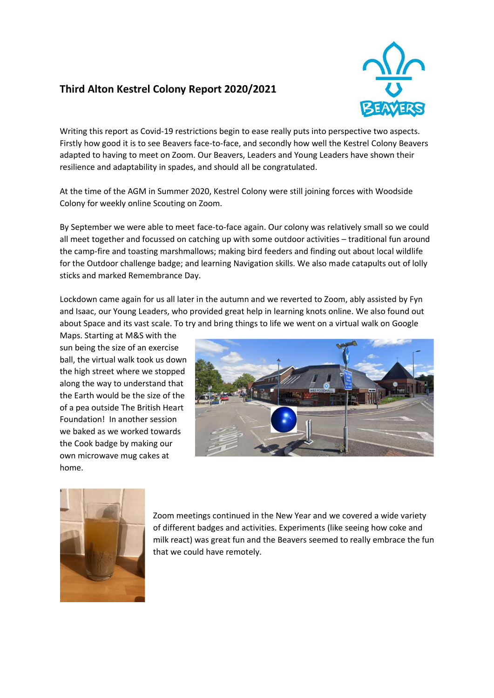## **Third Alton Kestrel Colony Report 2020/2021**



Writing this report as Covid-19 restrictions begin to ease really puts into perspective two aspects. Firstly how good it is to see Beavers face-to-face, and secondly how well the Kestrel Colony Beavers adapted to having to meet on Zoom. Our Beavers, Leaders and Young Leaders have shown their resilience and adaptability in spades, and should all be congratulated.

At the time of the AGM in Summer 2020, Kestrel Colony were still joining forces with Woodside Colony for weekly online Scouting on Zoom.

By September we were able to meet face-to-face again. Our colony was relatively small so we could all meet together and focussed on catching up with some outdoor activities – traditional fun around the camp-fire and toasting marshmallows; making bird feeders and finding out about local wildlife for the Outdoor challenge badge; and learning Navigation skills. We also made catapults out of lolly sticks and marked Remembrance Day.

Lockdown came again for us all later in the autumn and we reverted to Zoom, ably assisted by Fyn and Isaac, our Young Leaders, who provided great help in learning knots online. We also found out about Space and its vast scale. To try and bring things to life we went on a virtual walk on Google

Maps. Starting at M&S with the sun being the size of an exercise ball, the virtual walk took us down the high street where we stopped along the way to understand that the Earth would be the size of the of a pea outside The British Heart Foundation! In another session we baked as we worked towards the Cook badge by making our own microwave mug cakes at home.





Zoom meetings continued in the New Year and we covered a wide variety of different badges and activities. Experiments (like seeing how coke and milk react) was great fun and the Beavers seemed to really embrace the fun that we could have remotely.